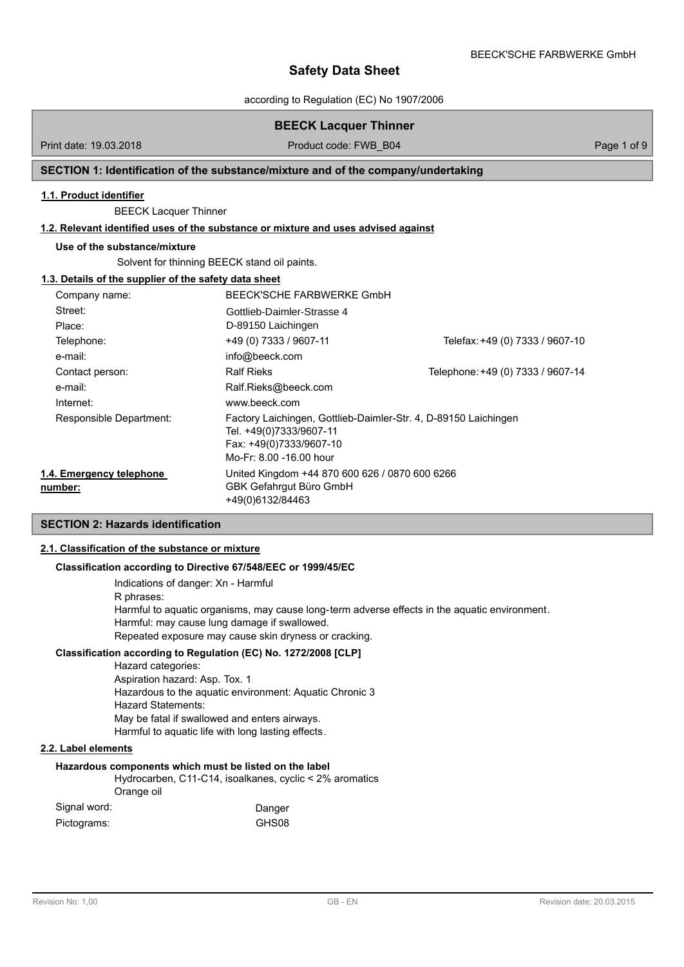according to Regulation (EC) No 1907/2006

# **BEECK Lacquer Thinner**

Print date: 19.03.2018 **Product code: FWB\_B04** Page 1 of 9

# **SECTION 1: Identification of the substance/mixture and of the company/undertaking**

## **1.1. Product identifier**

BEECK Lacquer Thinner

# **1.2. Relevant identified uses of the substance or mixture and uses advised against**

#### **Use of the substance/mixture**

Solvent for thinning BEECK stand oil paints.

# **1.3. Details of the supplier of the safety data sheet**

| Company name:                       | BEECK'SCHE FARBWERKE GmbH                                                                                                                        |                                   |
|-------------------------------------|--------------------------------------------------------------------------------------------------------------------------------------------------|-----------------------------------|
| Street:                             | Gottlieb-Daimler-Strasse 4                                                                                                                       |                                   |
| Place:                              | D-89150 Laichingen                                                                                                                               |                                   |
| Telephone:                          | +49 (0) 7333 / 9607-11                                                                                                                           | Telefax: +49 (0) 7333 / 9607-10   |
| e-mail:                             | info@beeck.com                                                                                                                                   |                                   |
| Contact person:                     | <b>Ralf Rieks</b>                                                                                                                                | Telephone: +49 (0) 7333 / 9607-14 |
| e-mail:                             | Ralf.Rieks@beeck.com                                                                                                                             |                                   |
| Internet:                           | www.beeck.com                                                                                                                                    |                                   |
| Responsible Department:             | Factory Laichingen, Gottlieb-Daimler-Str. 4, D-89150 Laichingen<br>Tel. +49(0)7333/9607-11<br>Fax: +49(0)7333/9607-10<br>Mo-Fr: 8.00 -16.00 hour |                                   |
| 1.4. Emergency telephone<br>number: | United Kingdom +44 870 600 626 / 0870 600 6266<br>GBK Gefahrgut Büro GmbH<br>+49(0)6132/84463                                                    |                                   |

# **SECTION 2: Hazards identification**

### **2.1. Classification of the substance or mixture**

#### **Classification according to Directive 67/548/EEC or 1999/45/EC**

Indications of danger: Xn - Harmful R phrases: Harmful to aquatic organisms, may cause long-term adverse effects in the aquatic environment. Harmful: may cause lung damage if swallowed. Repeated exposure may cause skin dryness or cracking.

# **Classification according to Regulation (EC) No. 1272/2008 [CLP]**

Hazard categories: Aspiration hazard: Asp. Tox. 1 Hazardous to the aquatic environment: Aquatic Chronic 3 Hazard Statements: May be fatal if swallowed and enters airways. Harmful to aquatic life with long lasting effects.

# **2.2. Label elements**

#### **Hazardous components which must be listed on the label**

Hydrocarben, C11-C14, isoalkanes, cyclic < 2% aromatics Orange oil

| Signal word: | Danger |
|--------------|--------|
| Pictograms:  | GHS08  |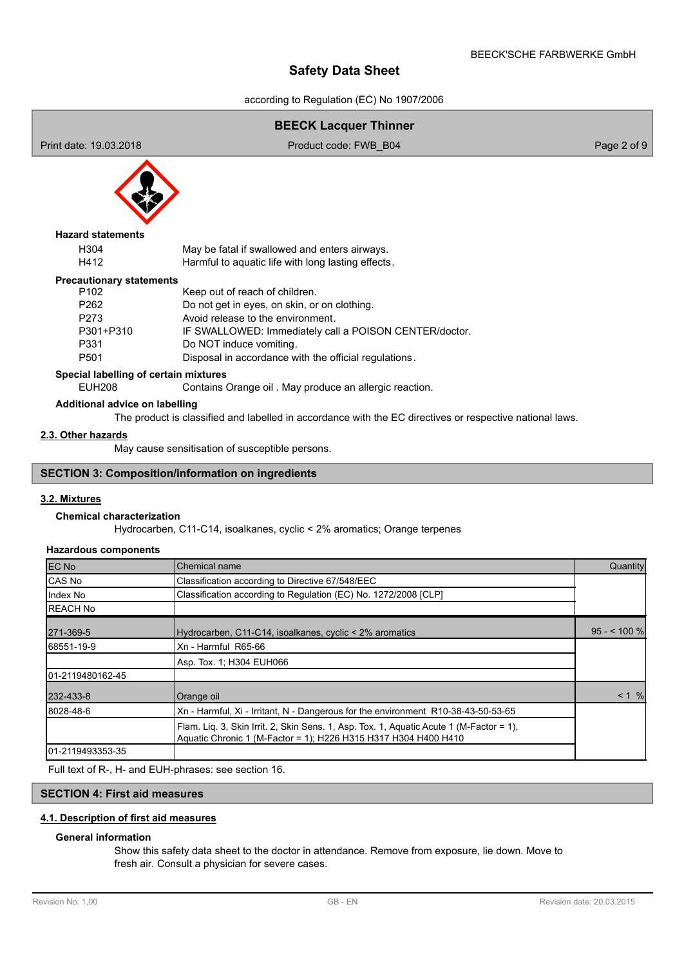according to Regulation (EC) No 1907/2006

# **BEECK Lacquer Thinner** Print date: 19.03.2018 **Product code: FWB\_B04** Page 2 of 9 H304 May be fatal if swallowed and enters airways. H412 Harmful to aquatic life with long lasting effects. **Hazard statements** P102 Keep out of reach of children.<br>P262 Do not get in eves on skin or P262 Do not get in eyes, on skin, or on clothing.<br>P273 Avoid release to the environment Avoid release to the environment. P301+P310 IF SWALLOWED: Immediately call a POISON CENTER/doctor. P331 Do NOT induce vomiting. P501 Disposal in accordance with the official regulations. **Precautionary statements Special labelling of certain mixtures** EUH208 Contains Orange oil . May produce an allergic reaction. **Additional advice on labelling** The product is classified and labelled in accordance with the EC directives or respective national laws. May cause sensitisation of susceptible persons. **2.3. Other hazards SECTION 3: Composition/information on ingredients**

## **3.2. Mixtures**

# **Chemical characterization**

Hydrocarben, C11-C14, isoalkanes, cyclic < 2% aromatics; Orange terpenes

#### **Hazardous components**

| EC No             | Chemical name                                                                                                                                              | Quantity     |
|-------------------|------------------------------------------------------------------------------------------------------------------------------------------------------------|--------------|
| <b>CAS No</b>     | Classification according to Directive 67/548/EEC                                                                                                           |              |
| IIndex No         | Classification according to Regulation (EC) No. 1272/2008 [CLP]                                                                                            |              |
| <b>REACH No</b>   |                                                                                                                                                            |              |
| 271-369-5         | Hydrocarben, C11-C14, isoalkanes, cyclic < 2% aromatics                                                                                                    | $95 - 100$ % |
| 68551-19-9        | Xn - Harmful R65-66                                                                                                                                        |              |
|                   | Asp. Tox. 1: H304 EUH066                                                                                                                                   |              |
| 101-2119480162-45 |                                                                                                                                                            |              |
| 232-433-8         | Orange oil                                                                                                                                                 | $< 1 \%$     |
| 8028-48-6         | Xn - Harmful, Xi - Irritant, N - Dangerous for the environment R10-38-43-50-53-65                                                                          |              |
|                   | Flam. Lig. 3, Skin Irrit. 2, Skin Sens. 1, Asp. Tox. 1, Aguatic Acute 1 (M-Factor = 1),<br>Aquatic Chronic 1 (M-Factor = 1); H226 H315 H317 H304 H400 H410 |              |
| 101-2119493353-35 |                                                                                                                                                            |              |

Full text of R-, H- and EUH-phrases: see section 16.

#### **SECTION 4: First aid measures**

## **4.1. Description of first aid measures**

### **General information**

Show this safety data sheet to the doctor in attendance. Remove from exposure, lie down. Move to fresh air. Consult a physician for severe cases.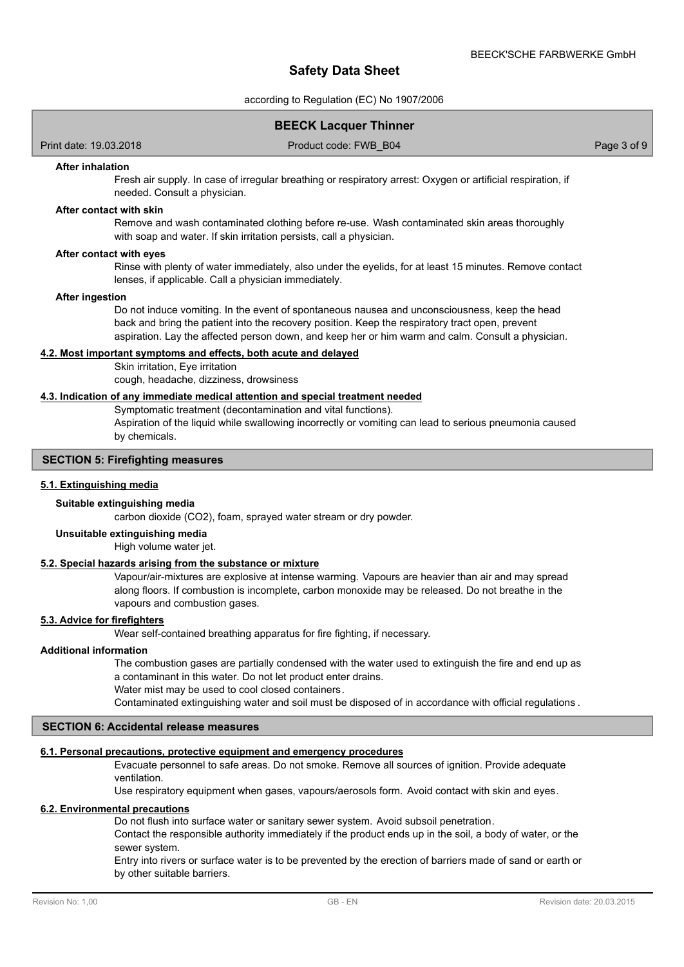according to Regulation (EC) No 1907/2006

# **BEECK Lacquer Thinner**

Print date: 19.03.2018 Product code: FWB\_B04 Page 3 of 9

#### **After inhalation**

Fresh air supply. In case of irregular breathing or respiratory arrest: Oxygen or artificial respiration, if needed. Consult a physician.

#### **After contact with skin**

Remove and wash contaminated clothing before re-use. Wash contaminated skin areas thoroughly with soap and water. If skin irritation persists, call a physician.

#### **After contact with eyes**

Rinse with plenty of water immediately, also under the eyelids, for at least 15 minutes. Remove contact lenses, if applicable. Call a physician immediately.

#### **After ingestion**

Do not induce vomiting. In the event of spontaneous nausea and unconsciousness, keep the head back and bring the patient into the recovery position. Keep the respiratory tract open, prevent aspiration. Lay the affected person down, and keep her or him warm and calm. Consult a physician.

# **4.2. Most important symptoms and effects, both acute and delayed**

Skin irritation, Eye irritation cough, headache, dizziness, drowsiness

#### **4.3. Indication of any immediate medical attention and special treatment needed**

Symptomatic treatment (decontamination and vital functions).

Aspiration of the liquid while swallowing incorrectly or vomiting can lead to serious pneumonia caused by chemicals.

# **SECTION 5: Firefighting measures**

#### **5.1. Extinguishing media**

#### **Suitable extinguishing media**

carbon dioxide (CO2), foam, sprayed water stream or dry powder.

# **Unsuitable extinguishing media**

High volume water jet.

# **5.2. Special hazards arising from the substance or mixture**

Vapour/air-mixtures are explosive at intense warming. Vapours are heavier than air and may spread along floors. If combustion is incomplete, carbon monoxide may be released. Do not breathe in the vapours and combustion gases.

#### **5.3. Advice for firefighters**

Wear self-contained breathing apparatus for fire fighting, if necessary.

#### **Additional information**

The combustion gases are partially condensed with the water used to extinguish the fire and end up as a contaminant in this water. Do not let product enter drains.

Water mist may be used to cool closed containers.

Contaminated extinguishing water and soil must be disposed of in accordance with official regulations .

# **SECTION 6: Accidental release measures**

#### **6.1. Personal precautions, protective equipment and emergency procedures**

Evacuate personnel to safe areas. Do not smoke. Remove all sources of ignition. Provide adequate ventilation.

Use respiratory equipment when gases, vapours/aerosols form. Avoid contact with skin and eyes.

#### **6.2. Environmental precautions**

Do not flush into surface water or sanitary sewer system. Avoid subsoil penetration.

Contact the responsible authority immediately if the product ends up in the soil, a body of water, or the sewer system.

Entry into rivers or surface water is to be prevented by the erection of barriers made of sand or earth or by other suitable barriers.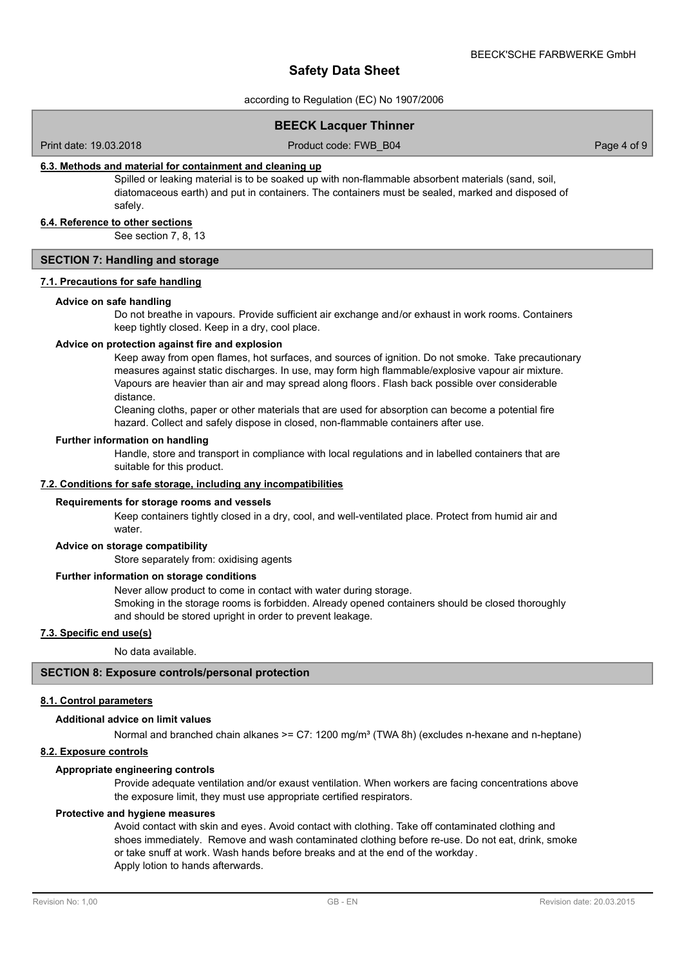according to Regulation (EC) No 1907/2006

# **BEECK Lacquer Thinner**

Print date: 19.03.2018 Product code: FWB\_B04 Page 4 of 9

#### **6.3. Methods and material for containment and cleaning up**

Spilled or leaking material is to be soaked up with non-flammable absorbent materials (sand, soil, diatomaceous earth) and put in containers. The containers must be sealed, marked and disposed of safely.

#### **6.4. Reference to other sections**

See section 7, 8, 13

### **SECTION 7: Handling and storage**

# **7.1. Precautions for safe handling**

#### **Advice on safe handling**

Do not breathe in vapours. Provide sufficient air exchange and/or exhaust in work rooms. Containers keep tightly closed. Keep in a dry, cool place.

#### **Advice on protection against fire and explosion**

Keep away from open flames, hot surfaces, and sources of ignition. Do not smoke. Take precautionary measures against static discharges. In use, may form high flammable/explosive vapour air mixture. Vapours are heavier than air and may spread along floors. Flash back possible over considerable distance.

Cleaning cloths, paper or other materials that are used for absorption can become a potential fire hazard. Collect and safely dispose in closed, non-flammable containers after use.

#### **Further information on handling**

Handle, store and transport in compliance with local regulations and in labelled containers that are suitable for this product.

#### **7.2. Conditions for safe storage, including any incompatibilities**

#### **Requirements for storage rooms and vessels**

Keep containers tightly closed in a dry, cool, and well-ventilated place. Protect from humid air and water

#### **Advice on storage compatibility**

Store separately from: oxidising agents

#### **Further information on storage conditions**

Never allow product to come in contact with water during storage. Smoking in the storage rooms is forbidden. Already opened containers should be closed thoroughly and should be stored upright in order to prevent leakage.

### **7.3. Specific end use(s)**

No data available.

## **SECTION 8: Exposure controls/personal protection**

#### **8.1. Control parameters**

#### **Additional advice on limit values**

Normal and branched chain alkanes >= C7:  $1200$  mg/m<sup>3</sup> (TWA 8h) (excludes n-hexane and n-heptane)

#### **8.2. Exposure controls**

#### **Appropriate engineering controls**

Provide adequate ventilation and/or exaust ventilation. When workers are facing concentrations above the exposure limit, they must use appropriate certified respirators.

#### **Protective and hygiene measures**

Avoid contact with skin and eyes. Avoid contact with clothing. Take off contaminated clothing and shoes immediately. Remove and wash contaminated clothing before re-use. Do not eat, drink, smoke or take snuff at work. Wash hands before breaks and at the end of the workday. Apply lotion to hands afterwards.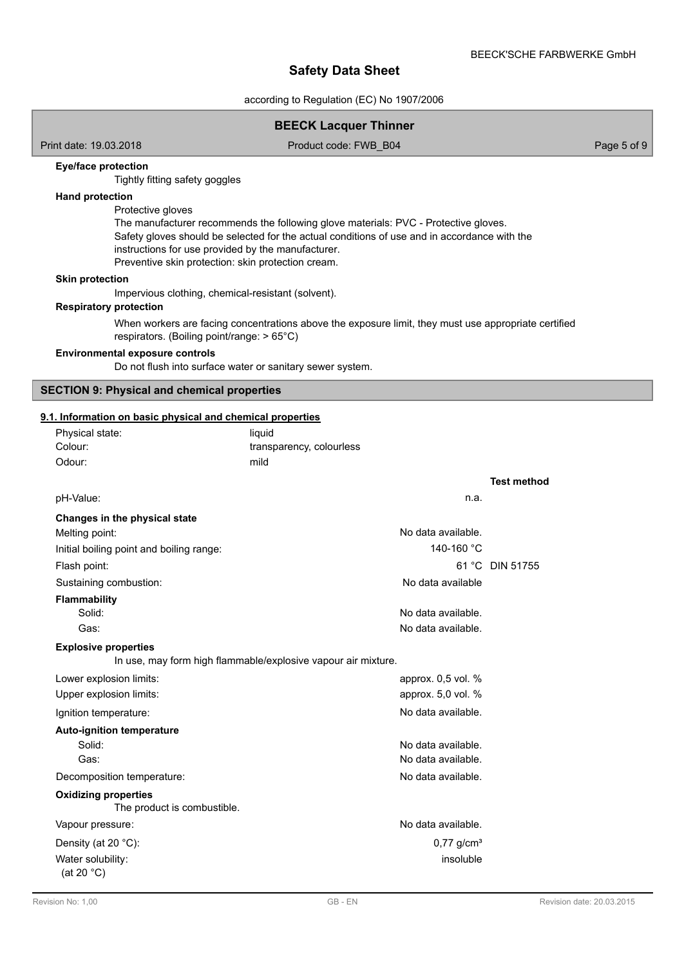according to Regulation (EC) No 1907/2006

# **BEECK Lacquer Thinner**

Print date: 19.03.2018 **Product code: FWB\_B04** Page 5 of 9

## **Eye/face protection**

Tightly fitting safety goggles

# **Hand protection**

Protective gloves

The manufacturer recommends the following glove materials: PVC - Protective gloves. Safety gloves should be selected for the actual conditions of use and in accordance with the instructions for use provided by the manufacturer. Preventive skin protection: skin protection cream.

#### **Skin protection**

Impervious clothing, chemical-resistant (solvent).

#### **Respiratory protection**

When workers are facing concentrations above the exposure limit, they must use appropriate certified respirators. (Boiling point/range: > 65°C)

# **Environmental exposure controls**

Do not flush into surface water or sanitary sewer system.

### **SECTION 9: Physical and chemical properties**

### **9.1. Information on basic physical and chemical properties**

| Physical state:<br>Colour:                                 | liquid<br>transparency, colourless                            |                    |
|------------------------------------------------------------|---------------------------------------------------------------|--------------------|
| Odour:                                                     | mild                                                          |                    |
|                                                            |                                                               | <b>Test method</b> |
| pH-Value:                                                  | n.a.                                                          |                    |
| Changes in the physical state                              |                                                               |                    |
| Melting point:                                             | No data available.                                            |                    |
| Initial boiling point and boiling range:                   | 140-160 °C                                                    |                    |
| Flash point:                                               |                                                               | 61 °C DIN 51755    |
| Sustaining combustion:                                     | No data available                                             |                    |
| <b>Flammability</b><br>Solid:                              | No data available.                                            |                    |
| Gas:                                                       | No data available.                                            |                    |
|                                                            |                                                               |                    |
| <b>Explosive properties</b>                                | In use, may form high flammable/explosive vapour air mixture. |                    |
| Lower explosion limits:                                    | approx. 0,5 vol. %                                            |                    |
| Upper explosion limits:                                    | approx. 5,0 vol. %                                            |                    |
| Ignition temperature:                                      | No data available.                                            |                    |
| <b>Auto-ignition temperature</b>                           |                                                               |                    |
| Solid:                                                     | No data available.                                            |                    |
| Gas:                                                       | No data available.                                            |                    |
| Decomposition temperature:                                 | No data available.                                            |                    |
| <b>Oxidizing properties</b><br>The product is combustible. |                                                               |                    |
| Vapour pressure:                                           | No data available.                                            |                    |
| Density (at 20 °C):                                        | $0,77$ g/cm <sup>3</sup>                                      |                    |
| Water solubility:                                          | insoluble                                                     |                    |
| (at 20 $°C$ )                                              |                                                               |                    |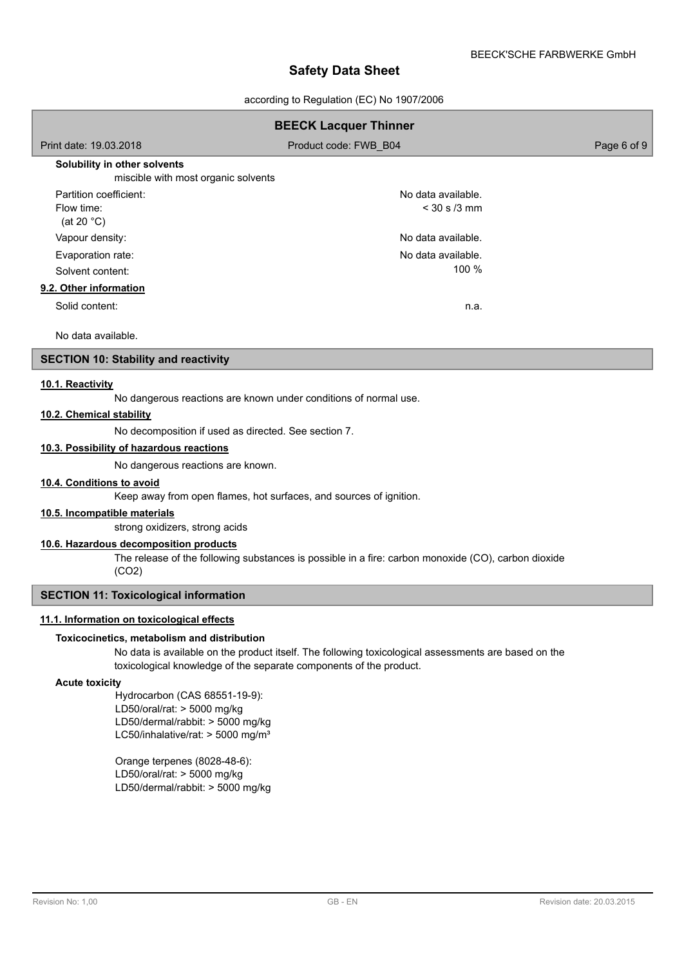according to Regulation (EC) No 1907/2006

| <b>BEECK Lacquer Thinner</b>                                        |                       |             |  |
|---------------------------------------------------------------------|-----------------------|-------------|--|
| Print date: 19.03.2018                                              | Product code: FWB B04 | Page 6 of 9 |  |
| Solubility in other solvents<br>miscible with most organic solvents |                       |             |  |
| Partition coefficient:                                              | No data available.    |             |  |
| Flow time:<br>(at 20 $°C$ )                                         | $<$ 30 s /3 mm        |             |  |
| Vapour density:                                                     | No data available.    |             |  |
| Evaporation rate:                                                   | No data available.    |             |  |
| Solvent content:                                                    | 100 %                 |             |  |
| 9.2. Other information                                              |                       |             |  |
| Solid content:                                                      | n.a.                  |             |  |
| No data available.                                                  |                       |             |  |

## **SECTION 10: Stability and reactivity**

### **10.1. Reactivity**

No dangerous reactions are known under conditions of normal use.

# **10.2. Chemical stability**

No decomposition if used as directed. See section 7.

## **10.3. Possibility of hazardous reactions**

No dangerous reactions are known.

### **10.4. Conditions to avoid**

Keep away from open flames, hot surfaces, and sources of ignition.

# **10.5. Incompatible materials**

strong oxidizers, strong acids

### **10.6. Hazardous decomposition products**

The release of the following substances is possible in a fire: carbon monoxide (CO), carbon dioxide (CO2)

### **SECTION 11: Toxicological information**

# **11.1. Information on toxicological effects**

#### **Toxicocinetics, metabolism and distribution**

No data is available on the product itself. The following toxicological assessments are based on the toxicological knowledge of the separate components of the product.

#### **Acute toxicity**

Hydrocarbon (CAS 68551-19-9): LD50/oral/rat: > 5000 mg/kg LD50/dermal/rabbit: > 5000 mg/kg LC50/inhalative/rat:  $>$  5000 mg/m<sup>3</sup>

Orange terpenes (8028-48-6): LD50/oral/rat: > 5000 mg/kg LD50/dermal/rabbit: > 5000 mg/kg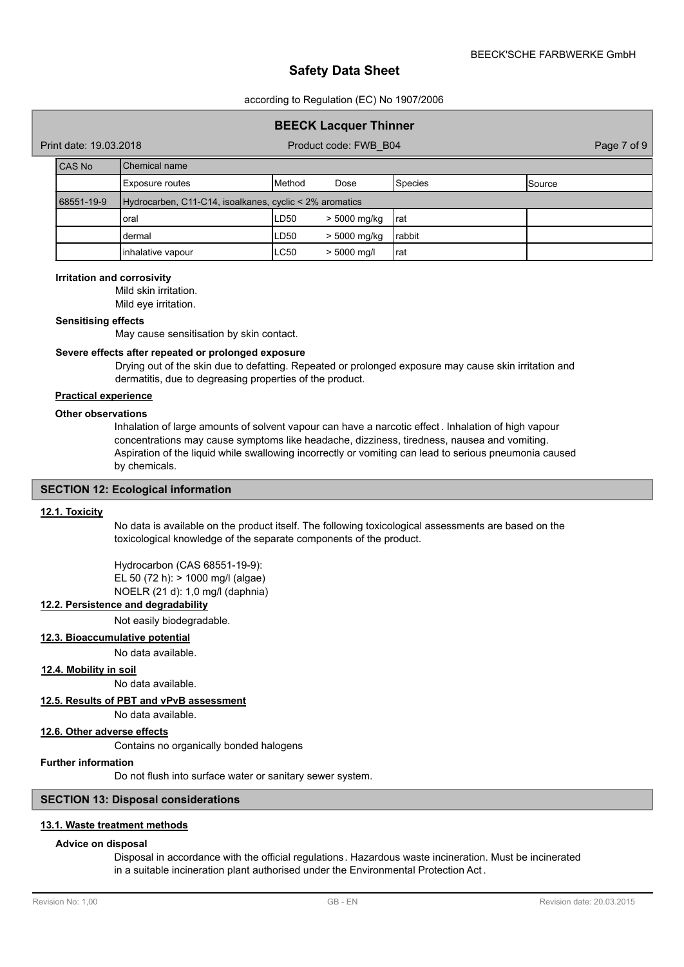according to Regulation (EC) No 1907/2006

# **BEECK Lacquer Thinner**

Print date: 19.03.2018 **Product code: FWB\_B04** Page 7 of 9

| <b>CAS No</b> | <b>I</b> Chemical name                                  |                |               |         |                 |
|---------------|---------------------------------------------------------|----------------|---------------|---------|-----------------|
|               | Exposure routes                                         | <b>IMethod</b> | Dose          | Species | <b>I</b> Source |
| 68551-19-9    | Hydrocarben, C11-C14, isoalkanes, cyclic < 2% aromatics |                |               |         |                 |
|               | oral                                                    | LD50           | > 5000 mg/kg  | Irat    |                 |
|               | dermal                                                  | LD50           | > 5000 mg/kg  | Irabbit |                 |
|               | inhalative vapour                                       | <b>LC50</b>    | $> 5000$ mg/l | Irat    |                 |

#### **Irritation and corrosivity**

Mild skin irritation. Mild eye irritation.

### **Sensitising effects**

May cause sensitisation by skin contact.

# **Severe effects after repeated or prolonged exposure**

Drying out of the skin due to defatting. Repeated or prolonged exposure may cause skin irritation and dermatitis, due to degreasing properties of the product.

# **Practical experience**

#### **Other observations**

Inhalation of large amounts of solvent vapour can have a narcotic effect . Inhalation of high vapour concentrations may cause symptoms like headache, dizziness, tiredness, nausea and vomiting. Aspiration of the liquid while swallowing incorrectly or vomiting can lead to serious pneumonia caused by chemicals.

#### **SECTION 12: Ecological information**

#### **12.1. Toxicity**

No data is available on the product itself. The following toxicological assessments are based on the toxicological knowledge of the separate components of the product.

Hydrocarbon (CAS 68551-19-9): EL 50 (72 h): > 1000 mg/l (algae) NOELR (21 d): 1,0 mg/l (daphnia)

# **12.2. Persistence and degradability**

Not easily biodegradable.

# **12.3. Bioaccumulative potential**

No data available.

### **12.4. Mobility in soil**

No data available.

### **12.5. Results of PBT and vPvB assessment**

No data available.

#### **12.6. Other adverse effects**

Contains no organically bonded halogens

#### **Further information**

Do not flush into surface water or sanitary sewer system.

# **SECTION 13: Disposal considerations**

### **13.1. Waste treatment methods**

#### **Advice on disposal**

Disposal in accordance with the official regulations. Hazardous waste incineration. Must be incinerated in a suitable incineration plant authorised under the Environmental Protection Act .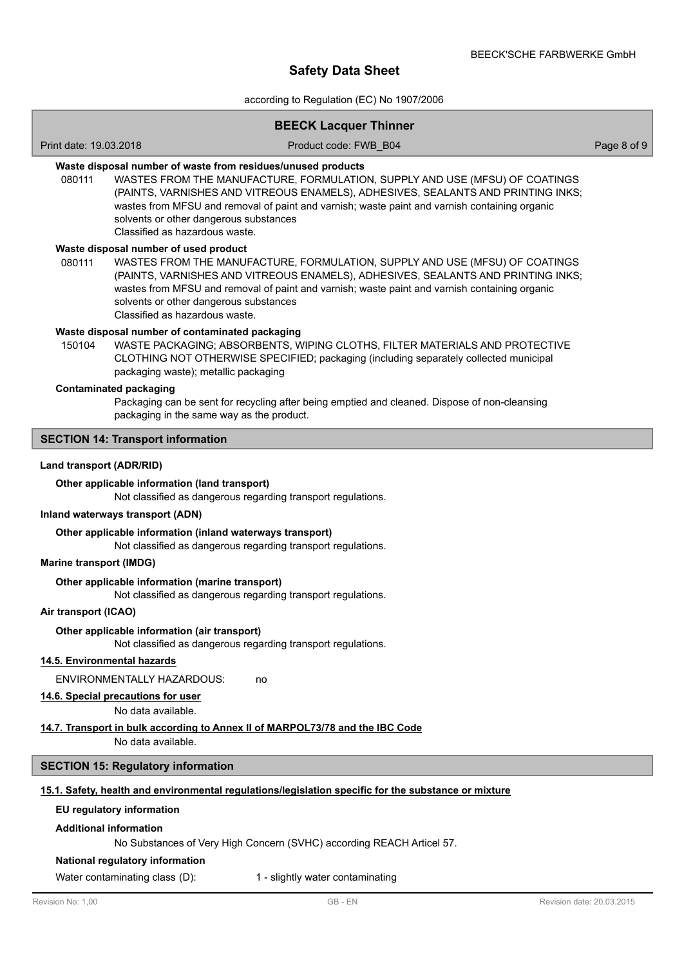according to Regulation (EC) No 1907/2006

# **BEECK Lacquer Thinner**

Print date: 19.03.2018 **Product code: FWB\_B04** Page 8 of 9

# **Waste disposal number of waste from residues/unused products**

080111 WASTES FROM THE MANUFACTURE, FORMULATION, SUPPLY AND USE (MFSU) OF COATINGS (PAINTS, VARNISHES AND VITREOUS ENAMELS), ADHESIVES, SEALANTS AND PRINTING INKS; wastes from MFSU and removal of paint and varnish; waste paint and varnish containing organic solvents or other dangerous substances Classified as hazardous waste.

#### **Waste disposal number of used product**

WASTES FROM THE MANUFACTURE, FORMULATION, SUPPLY AND USE (MFSU) OF COATINGS (PAINTS, VARNISHES AND VITREOUS ENAMELS), ADHESIVES, SEALANTS AND PRINTING INKS; wastes from MFSU and removal of paint and varnish; waste paint and varnish containing organic solvents or other dangerous substances Classified as hazardous waste. 080111

#### **Waste disposal number of contaminated packaging**

WASTE PACKAGING; ABSORBENTS, WIPING CLOTHS, FILTER MATERIALS AND PROTECTIVE CLOTHING NOT OTHERWISE SPECIFIED; packaging (including separately collected municipal packaging waste); metallic packaging 150104

#### **Contaminated packaging**

Packaging can be sent for recycling after being emptied and cleaned. Dispose of non-cleansing packaging in the same way as the product.

### **SECTION 14: Transport information**

#### **Land transport (ADR/RID)**

#### **Other applicable information (land transport)**

Not classified as dangerous regarding transport regulations.

#### **Inland waterways transport (ADN)**

#### **Other applicable information (inland waterways transport)**

Not classified as dangerous regarding transport regulations.

#### **Marine transport (IMDG)**

#### **Other applicable information (marine transport)**

Not classified as dangerous regarding transport regulations.

#### **Air transport (ICAO)**

#### **Other applicable information (air transport)**

Not classified as dangerous regarding transport regulations.

### **14.5. Environmental hazards**

ENVIRONMENTALLY HAZARDOUS: no

#### **14.6. Special precautions for user**

No data available.

## **14.7. Transport in bulk according to Annex II of MARPOL73/78 and the IBC Code**

No data available.

### **SECTION 15: Regulatory information**

# **15.1. Safety, health and environmental regulations/legislation specific for the substance or mixture**

#### **EU regulatory information**

#### **Additional information**

No Substances of Very High Concern (SVHC) according REACH Articel 57.

### **National regulatory information**

Water contaminating class (D): 1 - slightly water contaminating